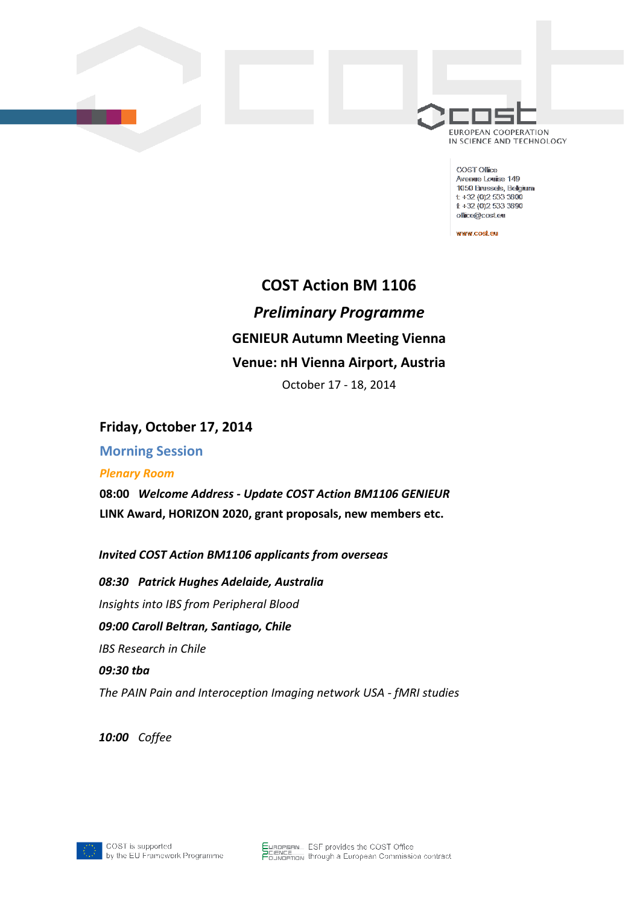

COST Office Avenue Louise 149 1050 Brussels, Belgium  $t + 32(0)25333800$  $E + 32(0)25333390$ office@cost.eu

www.cost.eu

# **COST Action BM 1106** *Preliminary Programme* **GENIEUR Autumn Meeting Vienna Venue: nH Vienna Airport, Austria**

October 17 - 18, 2014

## **Friday, October 17, 2014**

**Morning Session**

#### *Plenary Room*

**08:00** *Welcome Address - Update COST Action BM1106 GENIEUR* **LINK Award, HORIZON 2020, grant proposals, new members etc.**

*Invited COST Action BM1106 applicants from overseas*

*08:30 Patrick Hughes Adelaide, Australia Insights into IBS from Peripheral Blood 09:00 Caroll Beltran, Santiago, Chile IBS Research in Chile 09:30 tba The PAIN Pain and Interoception Imaging network USA - fMRI studies*

*10:00 Coffee*